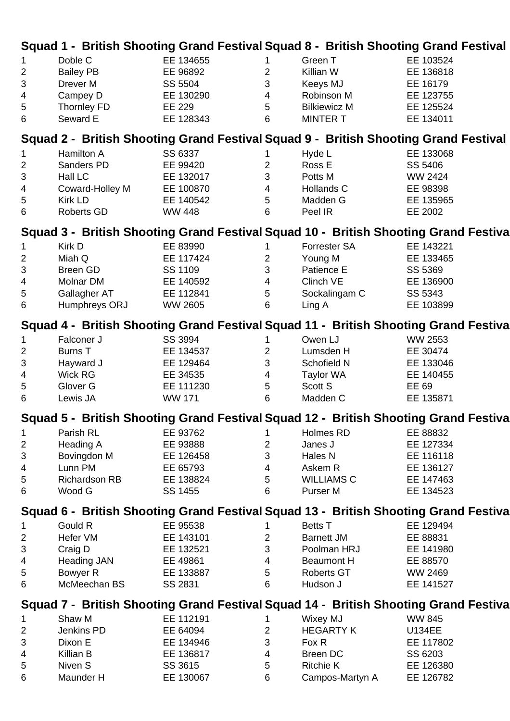|                                                                                     | Squad 1 - British Shooting Grand Festival Squad 8 - British Shooting Grand Festival |               |                         |                   |                     |       |               |  |  |  |
|-------------------------------------------------------------------------------------|-------------------------------------------------------------------------------------|---------------|-------------------------|-------------------|---------------------|-------|---------------|--|--|--|
| $\mathbf{1}$                                                                        | Doble C                                                                             | EE 134655     | 1.                      | Green T           |                     |       | EE 103524     |  |  |  |
| $\overline{2}$                                                                      | <b>Bailey PB</b>                                                                    | EE 96892      | $\overline{2}$          | Killian W         |                     |       | EE 136818     |  |  |  |
| $\sqrt{3}$                                                                          | Drever M                                                                            | SS 5504       | 3                       | Keeys MJ          |                     |       | EE 16179      |  |  |  |
| $\overline{\mathcal{A}}$                                                            | Campey D                                                                            | EE 130290     | $\overline{\mathbf{4}}$ |                   | Robinson M          |       | EE 123755     |  |  |  |
| 5                                                                                   | Thornley FD                                                                         | EE 229        | 5                       |                   | <b>Bilkiewicz M</b> |       | EE 125524     |  |  |  |
| 6                                                                                   | Seward E                                                                            | EE 128343     | 6                       | <b>MINTER T</b>   |                     |       | EE 134011     |  |  |  |
| Squad 2 - British Shooting Grand Festival Squad 9 - British Shooting Grand Festival |                                                                                     |               |                         |                   |                     |       |               |  |  |  |
| $\mathbf{1}$                                                                        | Hamilton A                                                                          | SS 6337       |                         | Hyde L            |                     |       | EE 133068     |  |  |  |
| $\overline{2}$                                                                      | Sanders PD                                                                          | EE 99420      | $\overline{2}$          | Ross E            |                     |       | SS 5406       |  |  |  |
| $\sqrt{3}$                                                                          | Hall LC                                                                             | EE 132017     | 3                       | Potts M           |                     |       | WW 2424       |  |  |  |
| 4                                                                                   | Coward-Holley M                                                                     | EE 100870     | $\overline{4}$          | Hollands C        |                     |       | EE 98398      |  |  |  |
| $\sqrt{5}$                                                                          | Kirk LD                                                                             | EE 140542     | 5                       | Madden G          |                     |       | EE 135965     |  |  |  |
| 6                                                                                   | Roberts GD                                                                          | <b>WW 448</b> | 6                       | Peel IR           |                     |       | EE 2002       |  |  |  |
| Squad 3 - British Shooting Grand Festival Squad 10 - British Shooting Grand Festiva |                                                                                     |               |                         |                   |                     |       |               |  |  |  |
| $\mathbf{1}$                                                                        | Kirk D                                                                              | EE 83990      | 1.                      |                   | Forrester SA        |       | EE 143221     |  |  |  |
| $\overline{2}$                                                                      | Miah Q                                                                              | EE 117424     | $\overline{2}$          | Young M           |                     |       | EE 133465     |  |  |  |
| $\ensuremath{\mathsf{3}}$                                                           | Breen GD                                                                            | SS 1109       | 3                       | Patience E        |                     |       | SS 5369       |  |  |  |
| $\overline{\mathcal{A}}$                                                            | Molnar DM                                                                           | EE 140592     | $\overline{\mathbf{4}}$ | Clinch VE         |                     |       | EE 136900     |  |  |  |
| $\sqrt{5}$                                                                          | Gallagher AT                                                                        | EE 112841     | 5                       |                   | Sockalingam C       |       | SS 5343       |  |  |  |
| 6                                                                                   | Humphreys ORJ                                                                       | WW 2605       | 6                       | Ling A            |                     |       | EE 103899     |  |  |  |
|                                                                                     | Squad 4 - British Shooting Grand Festival Squad 11 - British Shooting Grand Festiva |               |                         |                   |                     |       |               |  |  |  |
| $\mathbf{1}$                                                                        | Falconer J                                                                          | SS 3994       | 1.                      | Owen LJ           |                     |       | WW 2553       |  |  |  |
| $\overline{2}$                                                                      | <b>Burns T</b>                                                                      | EE 134537     | $\overline{2}$          | Lumsden H         |                     |       | EE 30474      |  |  |  |
| $\ensuremath{\mathsf{3}}$                                                           | Hayward J                                                                           | EE 129464     | 3                       | Schofield N       |                     |       | EE 133046     |  |  |  |
| 4                                                                                   | Wick RG                                                                             | EE 34535      | $\overline{4}$          | Taylor WA         |                     |       | EE 140455     |  |  |  |
| $\sqrt{5}$                                                                          | Glover G                                                                            | EE 111230     | 5                       | Scott S           |                     | EE 69 |               |  |  |  |
| 6                                                                                   | Lewis JA                                                                            | <b>WW 171</b> | 6                       | Madden C          |                     |       | EE 135871     |  |  |  |
|                                                                                     | Squad 5 - British Shooting Grand Festival Squad 12 - British Shooting Grand Festiva |               |                         |                   |                     |       |               |  |  |  |
| 1                                                                                   | Parish RL                                                                           | EE 93762      | $\mathbf{1}$            | Holmes RD         |                     |       | EE 88832      |  |  |  |
| $\overline{2}$                                                                      | Heading A                                                                           | EE 93888      | $\overline{2}$          | Janes J           |                     |       | EE 127334     |  |  |  |
| $\ensuremath{\mathsf{3}}$                                                           | Bovingdon M                                                                         | EE 126458     | 3                       | Hales N           |                     |       | EE 116118     |  |  |  |
| 4                                                                                   | Lunn PM                                                                             | EE 65793      | $\overline{4}$          | Askem R           |                     |       | EE 136127     |  |  |  |
| 5                                                                                   | <b>Richardson RB</b>                                                                | EE 138824     | 5                       |                   | <b>WILLIAMS C</b>   |       | EE 147463     |  |  |  |
| 6                                                                                   | Wood G                                                                              | SS 1455       | 6                       | Purser M          |                     |       | EE 134523     |  |  |  |
| Squad 6 - British Shooting Grand Festival Squad 13 - British Shooting Grand Festiva |                                                                                     |               |                         |                   |                     |       |               |  |  |  |
| 1                                                                                   | Gould R                                                                             | EE 95538      |                         | <b>Betts T</b>    |                     |       | EE 129494     |  |  |  |
| 2                                                                                   | Hefer VM                                                                            | EE 143101     | $\overline{c}$          | <b>Barnett JM</b> |                     |       | EE 88831      |  |  |  |
| $\ensuremath{\mathsf{3}}$                                                           | Craig D                                                                             | EE 132521     | 3                       |                   | Poolman HRJ         |       | EE 141980     |  |  |  |
| 4                                                                                   | <b>Heading JAN</b>                                                                  | EE 49861      | $\overline{4}$          |                   | Beaumont H          |       | EE 88570      |  |  |  |
| 5                                                                                   | Bowyer R                                                                            | EE 133887     | 5                       |                   | Roberts GT          |       | WW 2469       |  |  |  |
| 6                                                                                   | McMeechan BS                                                                        | SS 2831       | 6                       | Hudson J          |                     |       | EE 141527     |  |  |  |
|                                                                                     | Squad 7 - British Shooting Grand Festival Squad 14 - British Shooting Grand Festiva |               |                         |                   |                     |       |               |  |  |  |
| 1                                                                                   | Shaw M                                                                              | EE 112191     |                         | <b>Wixey MJ</b>   |                     |       | <b>WW 845</b> |  |  |  |
| $\overline{2}$                                                                      | Jenkins PD                                                                          | EE 64094      | $\overline{2}$          |                   | <b>HEGARTY K</b>    |       | <b>U134EE</b> |  |  |  |
| 3                                                                                   | Dixon E                                                                             | EE 134946     | $\mathsf 3$             | Fox R             |                     |       | EE 117802     |  |  |  |
| 4                                                                                   | Killian B                                                                           | EE 136817     | 4                       | Breen DC          |                     |       | SS 6203       |  |  |  |
| 5                                                                                   | Niven S                                                                             | SS 3615       | 5                       | <b>Ritchie K</b>  |                     |       | EE 126380     |  |  |  |
| 6                                                                                   | Maunder H                                                                           | EE 130067     | 6                       |                   | Campos-Martyn A     |       | EE 126782     |  |  |  |